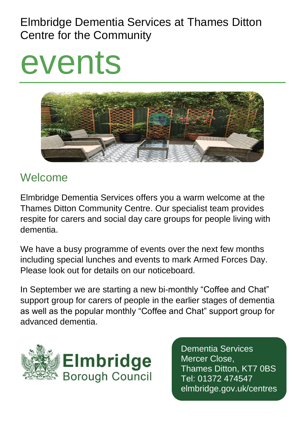# Elmbridge Dementia Services at Thames Ditton Centre for the Community

# events



# Welcome

Elmbridge Dementia Services offers you a warm welcome at the Thames Ditton Community Centre. Our specialist team provides respite for carers and social day care groups for people living with dementia.

We have a busy programme of events over the next few months including special lunches and events to mark Armed Forces Day. Please look out for details on our noticeboard.

In September we are starting a new bi-monthly "Coffee and Chat" support group for carers of people in the earlier stages of dementia as well as the popular monthly "Coffee and Chat" support group for advanced dementia.



Dementia Services Mercer Close, Thames Ditton, KT7 0BS Tel: 01372 474547 elmbridge.gov.uk/centres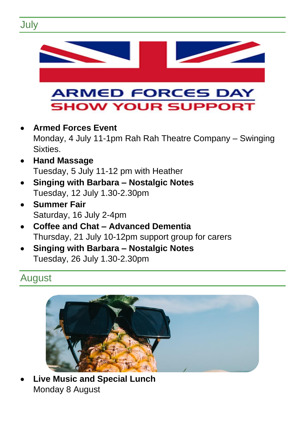



• **Live Music and Special Lunch**  Monday 8 August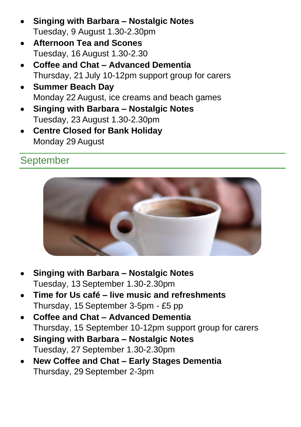- **Singing with Barbara – Nostalgic Notes**  Tuesday, 9 August 1.30-2.30pm
- **Afternoon Tea and Scones** Tuesday, 16 August 1.30-2.30
- **Coffee and Chat – Advanced Dementia**  Thursday, 21 July 10-12pm support group for carers
- **Summer Beach Day**  Monday 22 August, ice creams and beach games
- **Singing with Barbara – Nostalgic Notes**  Tuesday, 23 August 1.30-2.30pm
- **Centre Closed for Bank Holiday** Monday 29 August

## September



- **Singing with Barbara – Nostalgic Notes**  Tuesday, 13 September 1.30-2.30pm
- **Time for Us café – live music and refreshments**  Thursday, 15 September 3-5pm - £5 pp
- **Coffee and Chat – Advanced Dementia**  Thursday, 15 September 10-12pm support group for carers
- **Singing with Barbara – Nostalgic Notes**  Tuesday, 27 September 1.30-2.30pm
- **New Coffee and Chat – Early Stages Dementia**  Thursday, 29 September 2-3pm